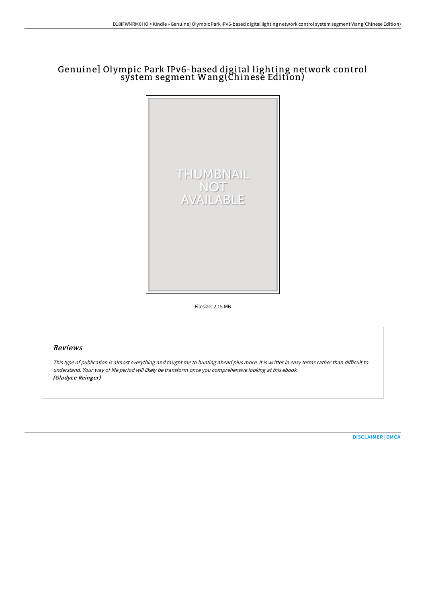# Genuine] Olympic Park IPv6-based digital lighting network control system segment Wang(Chinese Edition)



Filesize: 2.15 MB

# Reviews

This type of publication is almost everything and taught me to hunting ahead plus more. It is writter in easy terms rather than difficult to understand. Your way of life period will likely be transform once you comprehensive looking at this ebook. (Gladyce Reinger)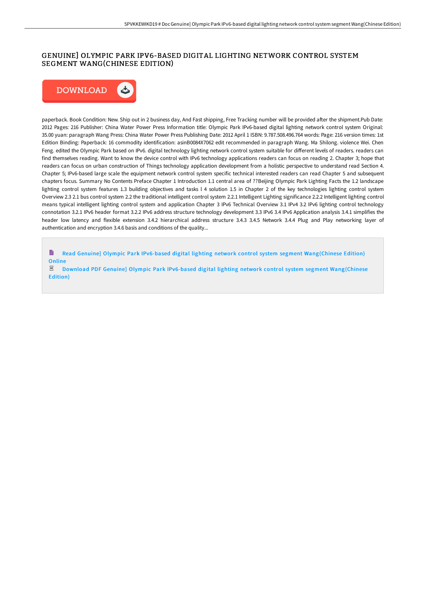## GENUINE] OLYMPIC PARK IPV6-BASED DIGITAL LIGHTING NETWORK CONTROL SYSTEM SEGMENT WANG(CHINESE EDITION)



paperback. Book Condition: New. Ship out in 2 business day, And Fast shipping, Free Tracking number will be provided after the shipment.Pub Date: 2012 Pages: 216 Publisher: China Water Power Press Information title: Olympic Park IPv6-based digital lighting network control system Original: 35.00 yuan: paragraph Wang Press: China Water Power Press Publishing Date: 2012 April 1 ISBN: 9.787.508.496.764 words: Page: 216 version times: 1st Edition Binding: Paperback: 16 commodity identification: asinB0084X7062 edit recommended in paragraph Wang. Ma Shilong. violence Wei. Chen Feng. edited the Olympic Park based on IPv6. digital technology lighting network control system suitable for different levels of readers. readers can find themselves reading. Want to know the device control with IPv6 technology applications readers can focus on reading 2. Chapter 3; hope that readers can focus on urban construction of Things technology application development from a holistic perspective to understand read Section 4. Chapter 5; IPv6-based large scale the equipment network control system specific technical interested readers can read Chapter 5 and subsequent chapters focus. Summary No Contents Preface Chapter 1 Introduction 1.1 central area of ??Beijing Olympic Park Lighting Facts the 1.2 landscape lighting control system features 1.3 building objectives and tasks l 4 solution 1.5 in Chapter 2 of the key technologies lighting control system Overview 2.3 2.1 bus control system 2.2 the traditional intelligent control system 2.2.1 Intelligent Lighting significance 2.2.2 Intelligent lighting control means typical intelligent lighting control system and application Chapter 3 IPv6 Technical Overview 3.1 IPv4 3.2 IPv6 lighting control technology connotation 3.2.1 IPv6 header format 3.2.2 IPv6 address structure technology development 3.3 IPv6 3.4 IPv6 Application analysis 3.4.1 simplifies the header low latency and flexible extension 3.4.2 hierarchical address structure 3.4.3 3.4.5 Network 3.4.4 Plug and Play networking layer of authentication and encryption 3.4.6 basis and conditions of the quality...

B Read Genuine] Olympic Park IPv6-based digital lighting network control system segment [Wang\(Chinese](http://albedo.media/genuine-olympic-park-ipv6-based-digital-lighting.html) Edition) Online

 $_{\rm PDF}$ Download PDF Genuine] Olympic Park IPv6-based digital lighting network control system segment [Wang\(Chinese](http://albedo.media/genuine-olympic-park-ipv6-based-digital-lighting.html) Edition)